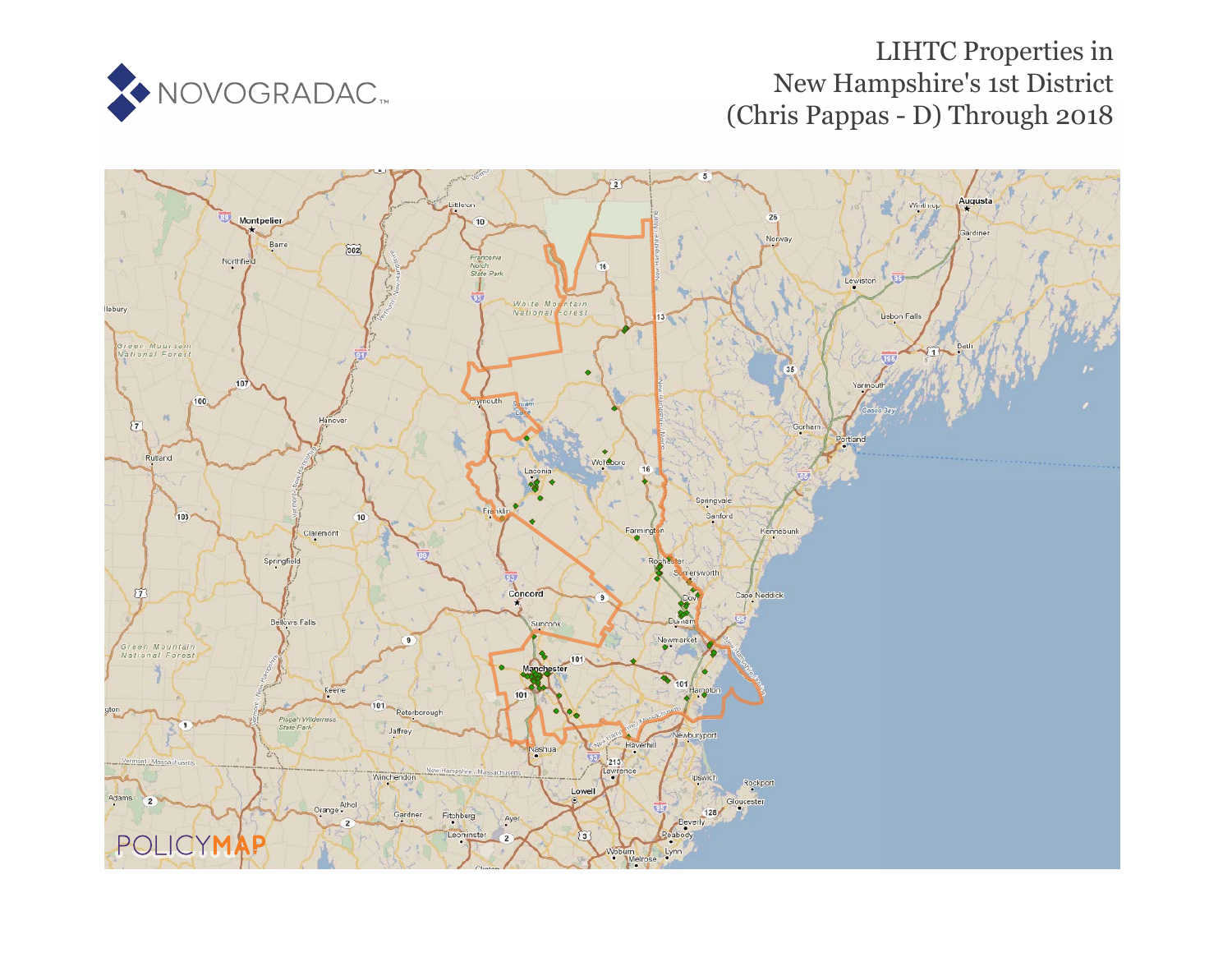

# LIHTC Properties in New Hampshire's 1st District (Chris Pappas - D) Through 2018

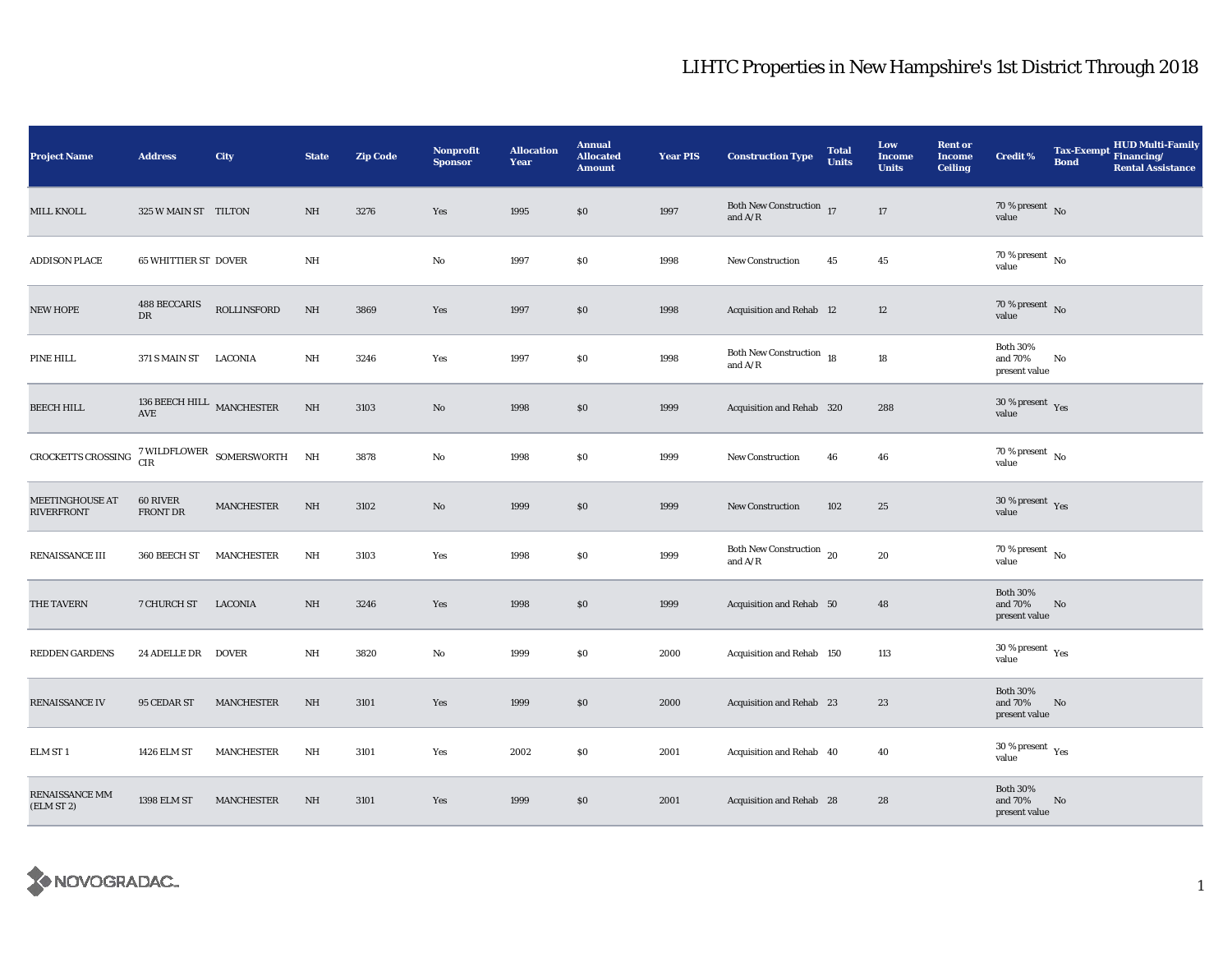| <b>Project Name</b>                         | <b>Address</b>                        | City                                                            | <b>State</b> | <b>Zip Code</b> | Nonprofit<br><b>Sponsor</b> | <b>Allocation</b><br>Year | <b>Annual</b><br><b>Allocated</b><br><b>Amount</b> | <b>Year PIS</b> | <b>Construction Type</b>                                | <b>Total</b><br><b>Units</b> | Low<br><b>Income</b><br><b>Units</b> | <b>Rent or</b><br><b>Income</b><br><b>Ceiling</b> | <b>Credit %</b>                              | <b>Tax-Exempt</b><br><b>Bond</b> | <b>HUD Multi-Family</b><br>Financing/<br><b>Rental Assistance</b> |
|---------------------------------------------|---------------------------------------|-----------------------------------------------------------------|--------------|-----------------|-----------------------------|---------------------------|----------------------------------------------------|-----------------|---------------------------------------------------------|------------------------------|--------------------------------------|---------------------------------------------------|----------------------------------------------|----------------------------------|-------------------------------------------------------------------|
| <b>MILL KNOLL</b>                           | 325 W MAIN ST TILTON                  |                                                                 | NH           | 3276            | Yes                         | 1995                      | \$0                                                | 1997            | Both New Construction 17<br>and $\rm A/R$               |                              | 17                                   |                                                   | 70 % present $\hbox{~No}$<br>value           |                                  |                                                                   |
| <b>ADDISON PLACE</b>                        | <b>65 WHITTIER ST DOVER</b>           |                                                                 | $\rm{NH}$    |                 | No                          | 1997                      | \$0                                                | 1998            | <b>New Construction</b>                                 | 45                           | 45                                   |                                                   | 70 % present $\hbox{~No}$<br>value           |                                  |                                                                   |
| <b>NEW HOPE</b>                             | <b>488 BECCARIS</b><br>DR             | <b>ROLLINSFORD</b>                                              | $\rm{NH}$    | 3869            | Yes                         | 1997                      | \$0                                                | 1998            | Acquisition and Rehab 12                                |                              | 12                                   |                                                   | 70 % present $\,$ No $\,$<br>value           |                                  |                                                                   |
| PINE HILL                                   | 371 S MAIN ST                         | LACONIA                                                         | NH           | 3246            | Yes                         | 1997                      | \$0                                                | 1998            | Both New Construction 18<br>and $\mathrm{A}/\mathrm{R}$ |                              | 18                                   |                                                   | <b>Both 30%</b><br>and 70%<br>present value  | No                               |                                                                   |
| <b>BEECH HILL</b>                           | 136 BEECH HILL $\,$ MANCHESTER<br>AVE |                                                                 | $\rm{NH}$    | 3103            | No                          | 1998                      | $\$0$                                              | 1999            | Acquisition and Rehab 320                               |                              | 288                                  |                                                   | $30\,\%$ present $\,$ Yes value              |                                  |                                                                   |
| CROCKETTS CROSSING                          |                                       | $7\,\rm WILDFLOWER$ $\,$ SOMERSWORTH $\,$ $\,$ NH $\,$ CIR $\,$ |              | 3878            | $\mathbf{No}$               | 1998                      | $\$0$                                              | 1999            | <b>New Construction</b>                                 | 46                           | 46                                   |                                                   | 70 % present $\,$ No $\,$<br>value           |                                  |                                                                   |
| <b>MEETINGHOUSE AT</b><br><b>RIVERFRONT</b> | 60 RIVER<br>FRONT DR                  | MANCHESTER                                                      | $\rm{NH}$    | 3102            | No                          | 1999                      | \$0                                                | 1999            | <b>New Construction</b>                                 | 102                          | 25                                   |                                                   | $30\,\%$ present $\,$ Yes value              |                                  |                                                                   |
| RENAISSANCE III                             | 360 BEECH ST                          | MANCHESTER                                                      | NH           | 3103            | Yes                         | 1998                      | $\$0$                                              | 1999            | Both New Construction $_{20}$<br>and $A/R$              |                              | 20                                   |                                                   | 70 % present $\overline{N_0}$<br>value       |                                  |                                                                   |
| THE TAVERN                                  | 7 CHURCH ST LACONIA                   |                                                                 | NH           | 3246            | Yes                         | 1998                      | $\$0$                                              | 1999            | Acquisition and Rehab 50                                |                              | 48                                   |                                                   | <b>Both 30%</b><br>and 70%<br>present value  | No                               |                                                                   |
| <b>REDDEN GARDENS</b>                       | 24 ADELLE DR DOVER                    |                                                                 | NH           | 3820            | No                          | 1999                      | \$0                                                | 2000            | Acquisition and Rehab 150                               |                              | 113                                  |                                                   | $30$ % present $\,$ $\rm Yes$<br>value       |                                  |                                                                   |
| RENAISSANCE IV                              | 95 CEDAR ST                           | <b>MANCHESTER</b>                                               | NH           | 3101            | Yes                         | 1999                      | \$0                                                | 2000            | Acquisition and Rehab 23                                |                              | 23                                   |                                                   | <b>Both 30%</b><br>and 70%<br>present value  | No                               |                                                                   |
| ELM ST 1                                    | 1426 ELM ST                           | <b>MANCHESTER</b>                                               | NH           | 3101            | Yes                         | 2002                      | \$0                                                | 2001            | Acquisition and Rehab 40                                |                              | 40                                   |                                                   | $30$ % present $\rm\thinspace\,Yes$<br>value |                                  |                                                                   |
| RENAISSANCE MM<br>(ELM ST 2)                | 1398 ELM ST                           | <b>MANCHESTER</b>                                               | NH           | 3101            | Yes                         | 1999                      | \$0                                                | 2001            | Acquisition and Rehab 28                                |                              | 28                                   |                                                   | <b>Both 30%</b><br>and 70%<br>present value  | No                               |                                                                   |

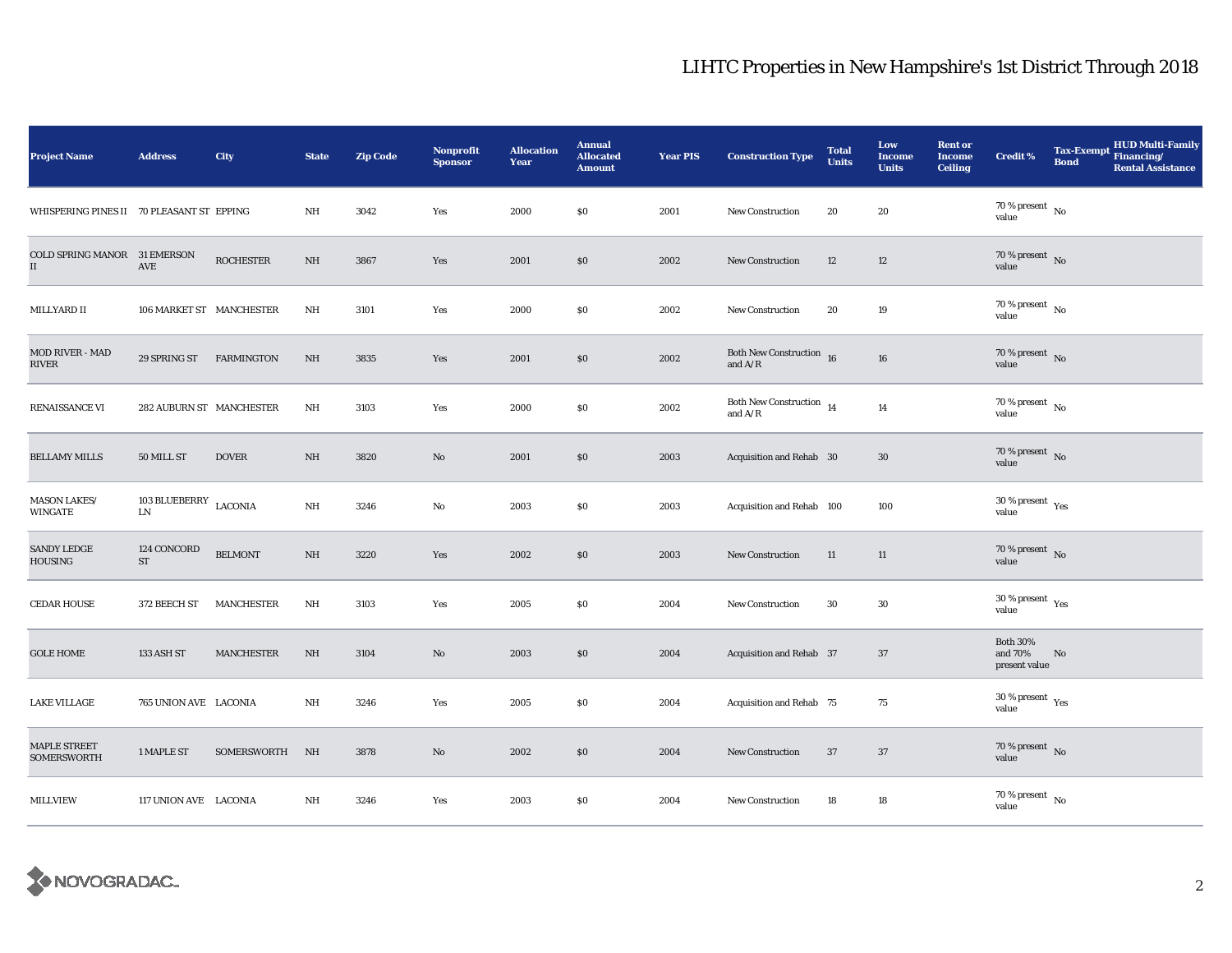| <b>Project Name</b>                           | <b>Address</b>                     | City              | <b>State</b> | <b>Zip Code</b> | Nonprofit<br><b>Sponsor</b> | <b>Allocation</b><br>Year | <b>Annual</b><br><b>Allocated</b><br><b>Amount</b> | <b>Year PIS</b> | <b>Construction Type</b>                    | <b>Total</b><br><b>Units</b> | Low<br><b>Income</b><br><b>Units</b> | <b>Rent or</b><br><b>Income</b><br><b>Ceiling</b> | <b>Credit %</b>                             | <b>Bond</b> | HUD Multi-Family<br>Tax-Exempt Financing/<br><b>Rental Assistance</b> |
|-----------------------------------------------|------------------------------------|-------------------|--------------|-----------------|-----------------------------|---------------------------|----------------------------------------------------|-----------------|---------------------------------------------|------------------------------|--------------------------------------|---------------------------------------------------|---------------------------------------------|-------------|-----------------------------------------------------------------------|
| WHISPERING PINES II 70 PLEASANT ST EPPING     |                                    |                   | NH           | 3042            | Yes                         | 2000                      | \$0                                                | 2001            | New Construction                            | 20                           | 20                                   |                                                   | 70 % present $\hbox{~No}$<br>value          |             |                                                                       |
| COLD SPRING MANOR 31 EMERSON<br>$\mathbf{II}$ | AVE                                | <b>ROCHESTER</b>  | NH           | 3867            | Yes                         | 2001                      | \$0                                                | 2002            | <b>New Construction</b>                     | 12                           | 12                                   |                                                   | $70\,\%$ present $\,$ No value              |             |                                                                       |
| MILLYARD II                                   | 106 MARKET ST MANCHESTER           |                   | NH           | 3101            | Yes                         | 2000                      | $\$0$                                              | 2002            | <b>New Construction</b>                     | 20                           | 19                                   |                                                   | $70\,\%$ present $\,$ No value              |             |                                                                       |
| MOD RIVER - MAD<br><b>RIVER</b>               | 29 SPRING ST FARMINGTON            |                   | NH           | 3835            | Yes                         | 2001                      | \$0                                                | 2002            | Both New Construction $16$<br>and $\rm A/R$ |                              | ${\bf 16}$                           |                                                   | $70\,\%$ present $\,$ No value              |             |                                                                       |
| RENAISSANCE VI                                | 282 AUBURN ST MANCHESTER           |                   | NH           | 3103            | Yes                         | 2000                      | \$0                                                | 2002            | Both New Construction $_{14}$<br>and $A/R$  |                              | 14                                   |                                                   | $70\,\%$ present $\,$ No value              |             |                                                                       |
| <b>BELLAMY MILLS</b>                          | 50 MILL ST                         | <b>DOVER</b>      | NH           | 3820            | No                          | 2001                      | \$0                                                | 2003            | Acquisition and Rehab 30                    |                              | 30                                   |                                                   | $70$ % present $\,$ No $\,$<br>value        |             |                                                                       |
| MASON LAKES/<br><b>WINGATE</b>                | 103 BLUEBERRY LACONIA<br>LN        |                   | NH           | 3246            | No                          | 2003                      | \$0                                                | 2003            | Acquisition and Rehab 100                   |                              | 100                                  |                                                   | $30\,\%$ present $\,$ $\rm{Yes}$<br>value   |             |                                                                       |
| <b>SANDY LEDGE</b><br><b>HOUSING</b>          | 124 CONCORD<br>$\operatorname{ST}$ | <b>BELMONT</b>    | $\rm{NH}$    | 3220            | Yes                         | 2002                      | $\$0$                                              | 2003            | New Construction                            | 11                           | 11                                   |                                                   | 70 % present $\,$ No $\,$<br>value          |             |                                                                       |
| <b>CEDAR HOUSE</b>                            | 372 BEECH ST                       | <b>MANCHESTER</b> | NH           | 3103            | Yes                         | 2005                      | $\$0$                                              | 2004            | <b>New Construction</b>                     | $30\,$                       | $30\,$                               |                                                   | $30\,\%$ present $\,$ $\rm Yes$<br>value    |             |                                                                       |
| <b>GOLE HOME</b>                              | 133 ASH ST                         | <b>MANCHESTER</b> | NH           | 3104            | No                          | 2003                      | \$0                                                | 2004            | Acquisition and Rehab 37                    |                              | 37                                   |                                                   | <b>Both 30%</b><br>and 70%<br>present value | No          |                                                                       |
| <b>LAKE VILLAGE</b>                           | 765 UNION AVE LACONIA              |                   | NH           | 3246            | Yes                         | 2005                      | \$0\$                                              | 2004            | Acquisition and Rehab 75                    |                              | 75                                   |                                                   | $30\,\%$ present $\,$ Yes value             |             |                                                                       |
| <b>MAPLE STREET</b><br><b>SOMERSWORTH</b>     | 1 MAPLE ST                         | SOMERSWORTH NH    |              | 3878            | No                          | 2002                      | \$0                                                | 2004            | <b>New Construction</b>                     | 37                           | 37                                   |                                                   | $70\,\%$ present $\,$ No value              |             |                                                                       |
| <b>MILLVIEW</b>                               | 117 UNION AVE LACONIA              |                   | NH           | 3246            | Yes                         | 2003                      | \$0                                                | 2004            | New Construction                            | 18                           | 18                                   |                                                   | $70\,\%$ present $\,$ No $\,$<br>value      |             |                                                                       |

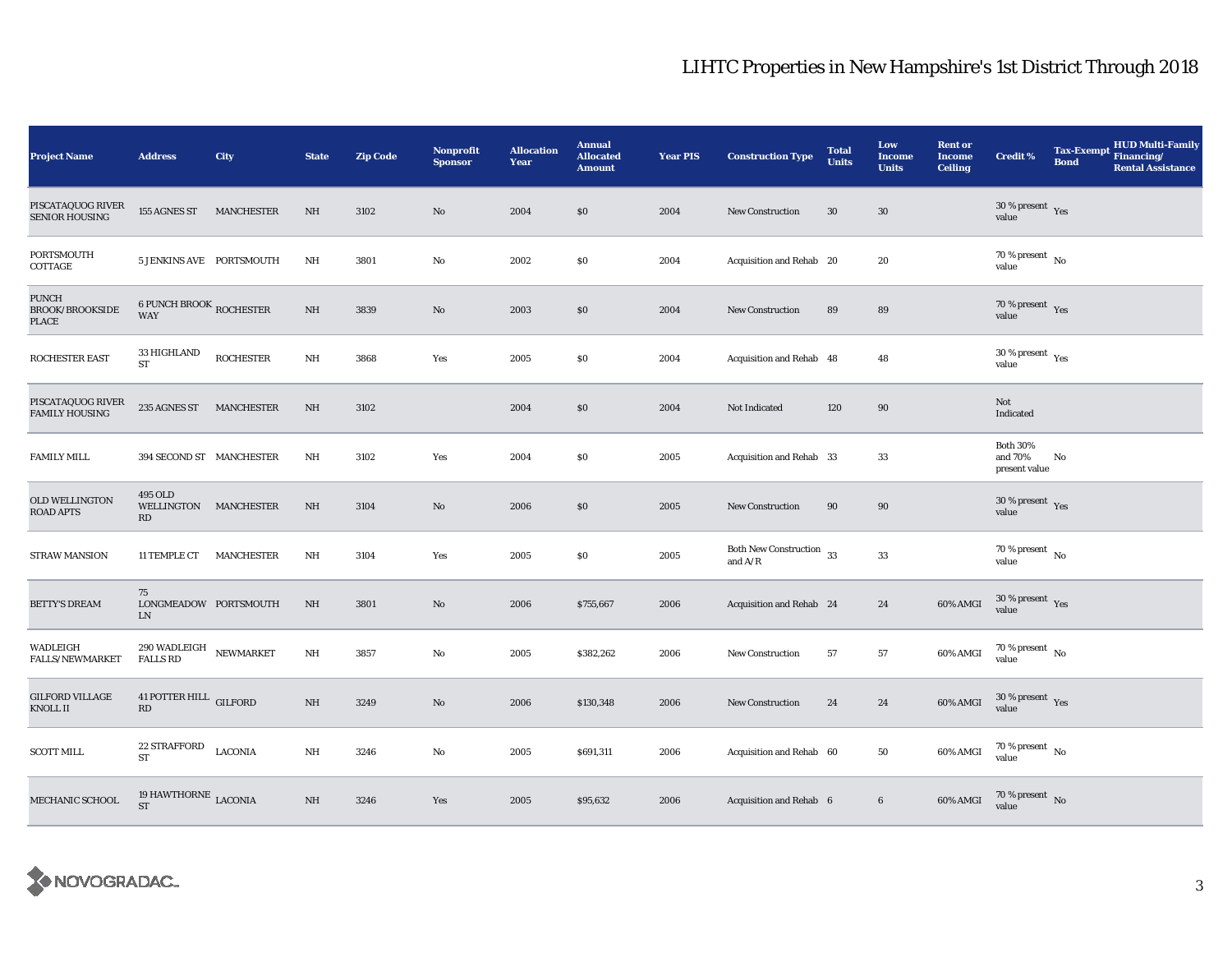| <b>Project Name</b>                                    | <b>Address</b>                                      | City              | <b>State</b> | <b>Zip Code</b> | Nonprofit<br><b>Sponsor</b> | <b>Allocation</b><br>Year | <b>Annual</b><br><b>Allocated</b><br><b>Amount</b> | <b>Year PIS</b> | <b>Construction Type</b>                   | <b>Total</b><br><b>Units</b> | Low<br><b>Income</b><br><b>Units</b> | <b>Rent or</b><br><b>Income</b><br><b>Ceiling</b> | <b>Credit %</b>                              | <b>Tax-Exempt</b><br><b>Bond</b> | HUD Multi-Family<br>Financing/<br><b>Rental Assistance</b> |
|--------------------------------------------------------|-----------------------------------------------------|-------------------|--------------|-----------------|-----------------------------|---------------------------|----------------------------------------------------|-----------------|--------------------------------------------|------------------------------|--------------------------------------|---------------------------------------------------|----------------------------------------------|----------------------------------|------------------------------------------------------------|
| PISCATAQUOG RIVER<br><b>SENIOR HOUSING</b>             | 155 AGNES ST MANCHESTER                             |                   | $\rm{NH}$    | 3102            | No                          | 2004                      | \$0                                                | 2004            | <b>New Construction</b>                    | 30                           | $30\,$                               |                                                   | $30$ % present $\,$ $\rm Yes$<br>value       |                                  |                                                            |
| PORTSMOUTH<br>COTTAGE                                  | 5 JENKINS AVE PORTSMOUTH                            |                   | NH           | 3801            | No                          | 2002                      | \$0                                                | 2004            | Acquisition and Rehab 20                   |                              | 20                                   |                                                   | 70 % present $\,$ No $\,$<br>value           |                                  |                                                            |
| <b>PUNCH</b><br><b>BROOK/BROOKSIDE</b><br><b>PLACE</b> | <b>6 PUNCH BROOK ROCHESTER</b><br><b>WAY</b>        |                   | $\rm{NH}$    | 3839            | $\mathbf{N}\mathbf{o}$      | 2003                      | \$0                                                | 2004            | <b>New Construction</b>                    | 89                           | 89                                   |                                                   | 70 % present $\,$ $\rm Yes$<br>value         |                                  |                                                            |
| ROCHESTER EAST                                         | 33 HIGHLAND<br><b>ST</b>                            | <b>ROCHESTER</b>  | NH           | 3868            | Yes                         | 2005                      | \$0                                                | 2004            | Acquisition and Rehab 48                   |                              | 48                                   |                                                   | $30$ % present $\rm\thinspace\,Yes$<br>value |                                  |                                                            |
| PISCATAQUOG RIVER<br><b>FAMILY HOUSING</b>             | 235 AGNES ST MANCHESTER                             |                   | NH           | 3102            |                             | 2004                      | \$0                                                | 2004            | Not Indicated                              | 120                          | 90                                   |                                                   | Not<br>Indicated                             |                                  |                                                            |
| <b>FAMILY MILL</b>                                     | 394 SECOND ST MANCHESTER                            |                   | NH           | 3102            | Yes                         | 2004                      | \$0                                                | 2005            | Acquisition and Rehab 33                   |                              | 33                                   |                                                   | <b>Both 30%</b><br>and 70%<br>present value  | No                               |                                                            |
| <b>OLD WELLINGTON</b><br><b>ROAD APTS</b>              | 495 OLD<br>WELLINGTON MANCHESTER<br>RD              |                   | NH           | 3104            | No                          | 2006                      | \$0                                                | 2005            | <b>New Construction</b>                    | 90                           | 90                                   |                                                   | $30\,\%$ present $\,$ Yes value              |                                  |                                                            |
| <b>STRAW MANSION</b>                                   | 11 TEMPLE CT                                        | <b>MANCHESTER</b> | NH           | 3104            | Yes                         | 2005                      | $\$0$                                              | 2005            | Both New Construction $\,$ 33<br>and $A/R$ |                              | 33                                   |                                                   | $70\,\%$ present $\,$ No value               |                                  |                                                            |
| <b>BETTY'S DREAM</b>                                   | 75<br>LONGMEADOW PORTSMOUTH<br>${\rm LN}$           |                   | NH           | 3801            | No                          | 2006                      | \$755,667                                          | 2006            | Acquisition and Rehab 24                   |                              | 24                                   | 60% AMGI                                          | $30\,\%$ present $\,$ Yes<br>value           |                                  |                                                            |
| WADLEIGH<br>FALLS/NEWMARKET                            | $290\,\mbox{WADLEIGH}$ NEWMARKET<br><b>FALLS RD</b> |                   | NH           | 3857            | No                          | 2005                      | \$382,262                                          | 2006            | New Construction                           | 57                           | 57                                   | 60% AMGI                                          | 70 % present $\hbox{~No}$<br>value           |                                  |                                                            |
| <b>GILFORD VILLAGE</b><br>KNOLL II                     | 41 POTTER HILL GILFORD<br>$\mathbf{R}\mathbf{D}$    |                   | $\rm{NH}$    | 3249            | $\mathbf{N}\mathbf{o}$      | 2006                      | \$130,348                                          | 2006            | New Construction                           | 24                           | 24                                   | 60% AMGI                                          | $30\,\%$ present $\,$ Yes<br>value           |                                  |                                                            |
| <b>SCOTT MILL</b>                                      | $22$ STRAFFORD<br><b>ST</b>                         | <b>LACONIA</b>    | $\rm{NH}$    | 3246            | No                          | 2005                      | \$691,311                                          | 2006            | Acquisition and Rehab 60                   |                              | 50                                   | 60% AMGI                                          | $70$ % present $\,$ No $\,$<br>value         |                                  |                                                            |
| MECHANIC SCHOOL                                        | 19 HAWTHORNE $_{\rm LACONIA}$<br><b>ST</b>          |                   | $\rm{NH}$    | 3246            | Yes                         | 2005                      | \$95,632                                           | 2006            | Acquisition and Rehab 6                    |                              | $6\phantom{.0}$                      | 60% AMGI                                          | $70\,\%$ present $\,$ No value               |                                  |                                                            |

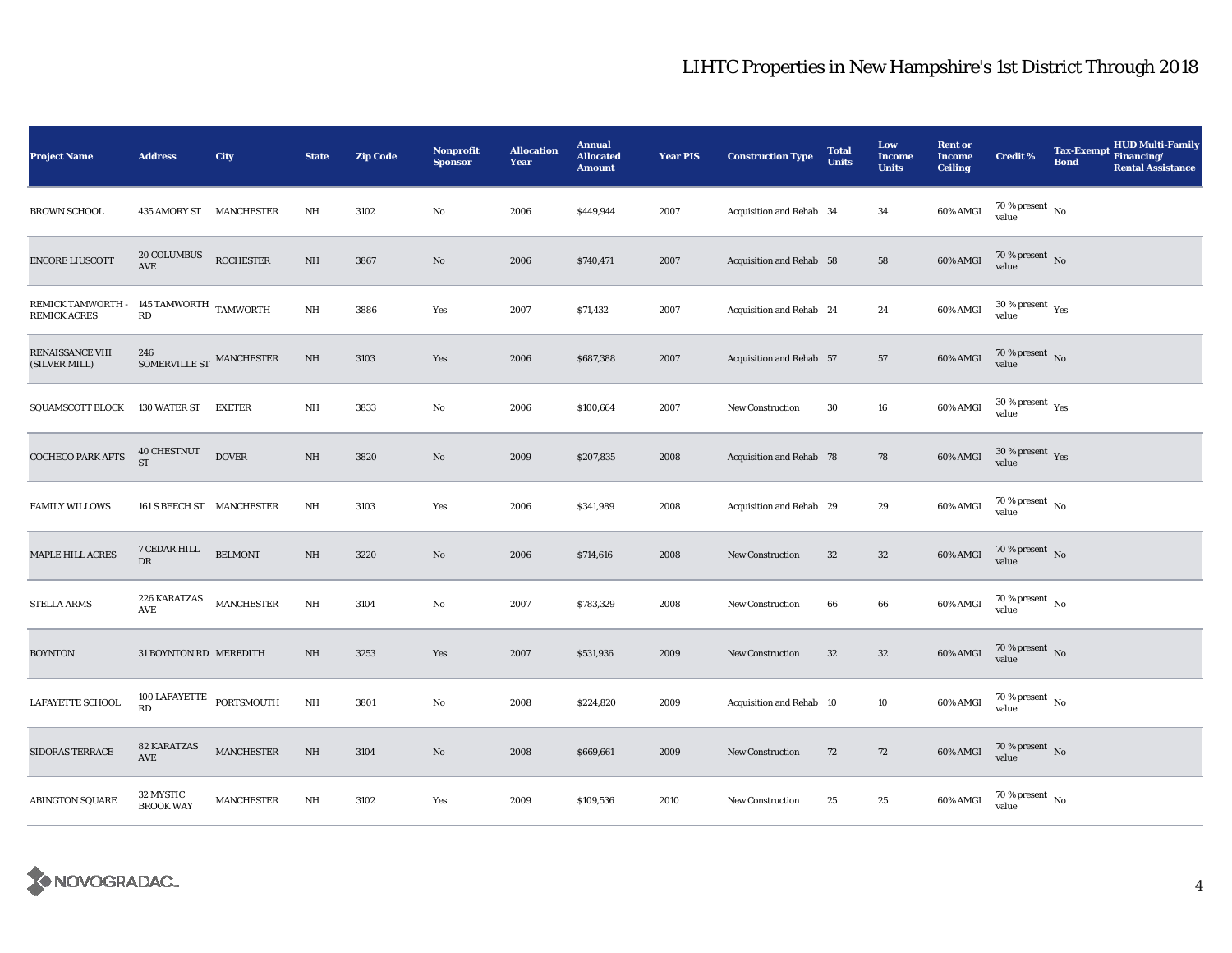| <b>Project Name</b>                                            | <b>Address</b>                             | City              | <b>State</b>            | <b>Zip Code</b> | Nonprofit<br><b>Sponsor</b> | <b>Allocation</b><br>Year | <b>Annual</b><br><b>Allocated</b><br><b>Amount</b> | <b>Year PIS</b> | <b>Construction Type</b> | <b>Total</b><br><b>Units</b> | Low<br><b>Income</b><br><b>Units</b> | <b>Rent or</b><br><b>Income</b><br><b>Ceiling</b> | <b>Credit %</b>                        | <b>Tax-Exempt</b><br><b>Bond</b> | <b>HUD Multi-Family</b><br>Financing/<br><b>Rental Assistance</b> |
|----------------------------------------------------------------|--------------------------------------------|-------------------|-------------------------|-----------------|-----------------------------|---------------------------|----------------------------------------------------|-----------------|--------------------------|------------------------------|--------------------------------------|---------------------------------------------------|----------------------------------------|----------------------------------|-------------------------------------------------------------------|
| <b>BROWN SCHOOL</b>                                            | 435 AMORY ST MANCHESTER                    |                   | NH                      | 3102            | No                          | 2006                      | \$449,944                                          | 2007            | Acquisition and Rehab 34 |                              | 34                                   | 60% AMGI                                          | 70 % present $\hbox{~No}$<br>value     |                                  |                                                                   |
| <b>ENCORE LIUSCOTT</b>                                         | 20 COLUMBUS<br>AVE                         | <b>ROCHESTER</b>  | $\rm{NH}$               | 3867            | $\mathbf{N}\mathbf{o}$      | 2006                      | \$740,471                                          | 2007            | Acquisition and Rehab 58 |                              | 58                                   | 60% AMGI                                          | $70\,\%$ present $\,$ No $\,$<br>value |                                  |                                                                   |
| REMICK TAMWORTH - 145 TAMWORTH TAMWORTH<br><b>REMICK ACRES</b> | RD                                         |                   | $\rm{NH}$               | 3886            | Yes                         | 2007                      | \$71,432                                           | 2007            | Acquisition and Rehab 24 |                              | $\bf 24$                             | 60% AMGI                                          | $30\,\%$ present $\,$ Yes value        |                                  |                                                                   |
| RENAISSANCE VIII<br>(SILVER MILL)                              | 246<br>SOMERVILLE ST MANCHESTER            |                   | $\rm{NH}$               | 3103            | Yes                         | 2006                      | \$687,388                                          | 2007            | Acquisition and Rehab 57 |                              | 57                                   | 60% AMGI                                          | $70\,\%$ present $\,$ No value         |                                  |                                                                   |
| SQUAMSCOTT BLOCK                                               | 130 WATER ST                               | EXETER            | NH                      | 3833            | No                          | 2006                      | \$100,664                                          | 2007            | New Construction         | 30                           | ${\bf 16}$                           | 60% AMGI                                          | $30$ % present $\,$ $\rm Yes$<br>value |                                  |                                                                   |
| COCHECO PARK APTS                                              | 40 CHESTNUT<br>${\rm ST}$                  | <b>DOVER</b>      | NH                      | 3820            | No                          | 2009                      | \$207,835                                          | 2008            | Acquisition and Rehab 78 |                              | 78                                   | 60% AMGI                                          | $30\,\%$ present $\,$ Yes value        |                                  |                                                                   |
| <b>FAMILY WILLOWS</b>                                          | 161 S BEECH ST MANCHESTER                  |                   | $\rm{NH}$               | 3103            | Yes                         | 2006                      | \$341,989                                          | 2008            | Acquisition and Rehab 29 |                              | 29                                   | 60% AMGI                                          | $70\,\%$ present $\,$ No value         |                                  |                                                                   |
| MAPLE HILL ACRES                                               | 7 CEDAR HILL<br>DR                         | <b>BELMONT</b>    | $\rm NH$                | 3220            | $\rm No$                    | 2006                      | \$714,616                                          | 2008            | New Construction         | $32\,$                       | $32\,$                               | 60% AMGI                                          | $70\,\%$ present $_{\rm{No}}$          |                                  |                                                                   |
| <b>STELLA ARMS</b>                                             | 226 KARATZAS<br>AVE                        | <b>MANCHESTER</b> | $\mathbf{N} \mathbf{H}$ | 3104            | No                          | 2007                      | \$783,329                                          | 2008            | New Construction         | 66                           | 66                                   | 60% AMGI                                          | $70\,\%$ present $\,$ No value         |                                  |                                                                   |
| <b>BOYNTON</b>                                                 | 31 BOYNTON RD MEREDITH                     |                   | NH                      | 3253            | Yes                         | 2007                      | \$531,936                                          | 2009            | <b>New Construction</b>  | $32\,$                       | $32\,$                               | 60% AMGI                                          | $70\,\%$ present $\,$ No value         |                                  |                                                                   |
| LAFAYETTE SCHOOL                                               | $100$ LAFAYETTE $\_$ PORTSMOUTH $\_$<br>RD |                   | $_{\rm NH}$             | 3801            | No                          | 2008                      | \$224,820                                          | 2009            | Acquisition and Rehab 10 |                              | 10                                   | 60% AMGI                                          | 70 % present $\hbox{~No}$<br>value     |                                  |                                                                   |
| SIDORAS TERRACE                                                | <b>82 KARATZAS</b><br>AVE                  | <b>MANCHESTER</b> | $\rm{NH}$               | 3104            | $\mathbf{N}\mathbf{o}$      | 2008                      | \$669,661                                          | 2009            | New Construction         | 72                           | 72                                   | 60% AMGI                                          | $70$ % present $_{\rm{No}}$            |                                  |                                                                   |
| <b>ABINGTON SQUARE</b>                                         | 32 MYSTIC<br><b>BROOK WAY</b>              | <b>MANCHESTER</b> | $\rm{NH}$               | 3102            | Yes                         | 2009                      | \$109,536                                          | 2010            | New Construction         | 25                           | 25                                   | 60% AMGI                                          | $70$ % present $\,$ No value           |                                  |                                                                   |

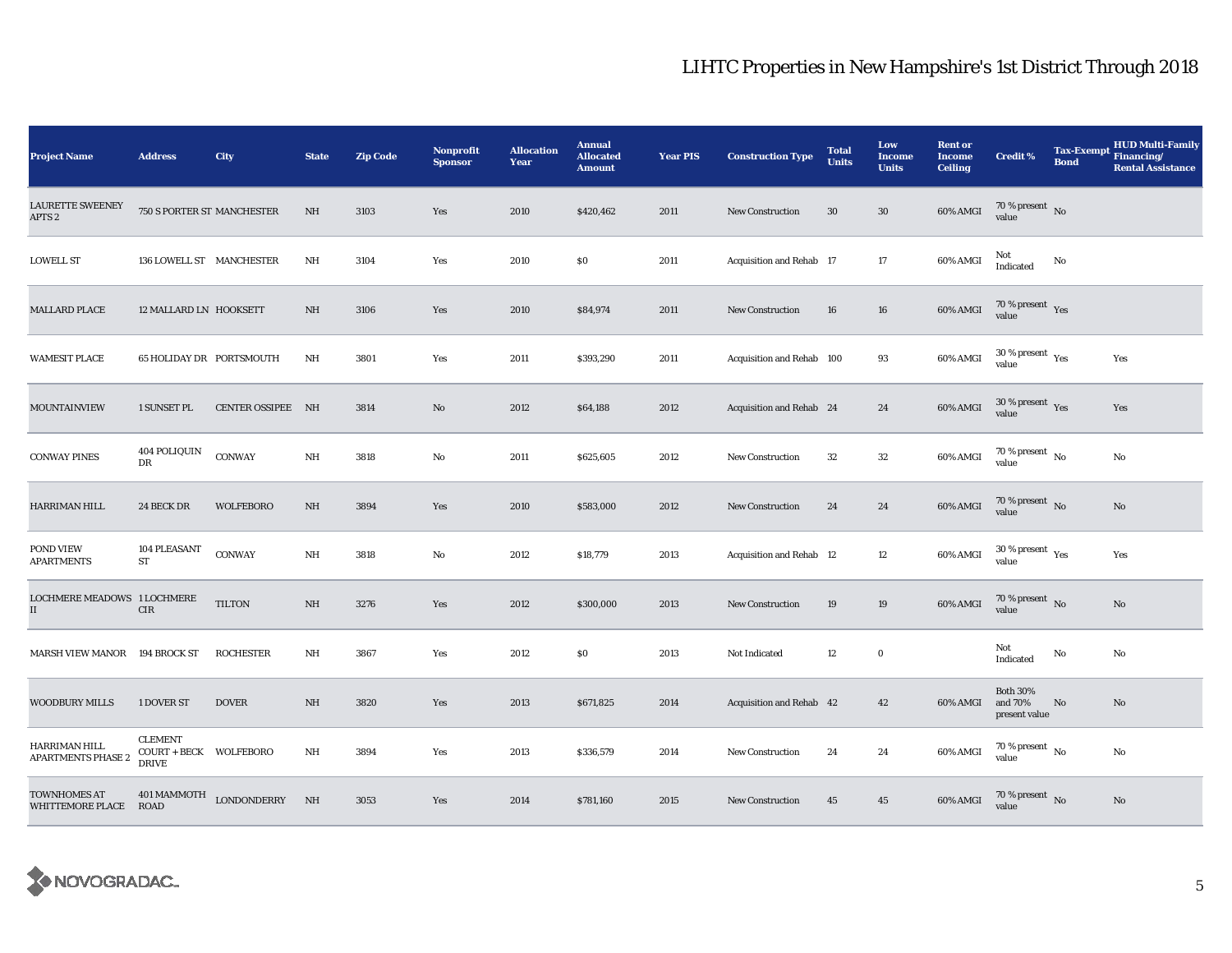| <b>Project Name</b>                                 | <b>Address</b>                                           | City               | <b>State</b>   | <b>Zip Code</b> | <b>Nonprofit</b><br><b>Sponsor</b> | <b>Allocation</b><br>Year | <b>Annual</b><br><b>Allocated</b><br><b>Amount</b> | <b>Year PIS</b> | <b>Construction Type</b>  | <b>Total</b><br><b>Units</b> | Low<br><b>Income</b><br><b>Units</b> | <b>Rent or</b><br><b>Income</b><br><b>Ceiling</b> | <b>Credit %</b>                             | <b>Tax-Exempt</b><br><b>Bond</b> | <b>HUD Multi-Family</b><br>Financing/<br><b>Rental Assistance</b> |
|-----------------------------------------------------|----------------------------------------------------------|--------------------|----------------|-----------------|------------------------------------|---------------------------|----------------------------------------------------|-----------------|---------------------------|------------------------------|--------------------------------------|---------------------------------------------------|---------------------------------------------|----------------------------------|-------------------------------------------------------------------|
| <b>LAURETTE SWEENEY</b><br>APTS <sub>2</sub>        | 750 S PORTER ST MANCHESTER                               |                    | NH             | 3103            | Yes                                | 2010                      | \$420,462                                          | 2011            | New Construction          | 30                           | $30\,$                               | 60% AMGI                                          | $70\,\%$ present $\,$ No value              |                                  |                                                                   |
| <b>LOWELL ST</b>                                    | 136 LOWELL ST MANCHESTER                                 |                    | $\rm{NH}$      | 3104            | Yes                                | 2010                      | $\$0$                                              | 2011            | Acquisition and Rehab 17  |                              | 17                                   | 60% AMGI                                          | Not<br>Indicated                            | No                               |                                                                   |
| <b>MALLARD PLACE</b>                                | 12 MALLARD LN HOOKSETT                                   |                    | NH             | 3106            | Yes                                | 2010                      | \$84,974                                           | 2011            | New Construction          | 16                           | 16                                   | $60\%$ AMGI                                       | $70\,\%$ present $\;\;$ Yes value           |                                  |                                                                   |
| <b>WAMESIT PLACE</b>                                | 65 HOLIDAY DR PORTSMOUTH                                 |                    | NH             | 3801            | Yes                                | 2011                      | \$393,290                                          | 2011            | Acquisition and Rehab 100 |                              | 93                                   | 60% AMGI                                          | $30$ % present $\,$ $\rm Yes$<br>value      |                                  | Yes                                                               |
| <b>MOUNTAINVIEW</b>                                 | <b>1 SUNSET PL</b>                                       | CENTER OSSIPEE NH  |                | 3814            | No                                 | 2012                      | \$64,188                                           | 2012            | Acquisition and Rehab 24  |                              | 24                                   | 60% AMGI                                          | $30\,\%$ present $\,$ Yes value             |                                  | Yes                                                               |
| <b>CONWAY PINES</b>                                 | 404 POLIQUIN<br>DR                                       | CONWAY             | $\rm{NH}$      | 3818            | $\rm No$                           | 2011                      | \$625,605                                          | 2012            | <b>New Construction</b>   | 32                           | ${\bf 32}$                           | 60% AMGI                                          | $70\,\%$ present $\,$ No value              |                                  | No                                                                |
| HARRIMAN HILL                                       | 24 BECK DR                                               | <b>WOLFEBORO</b>   | $\rm{NH}$      | 3894            | Yes                                | 2010                      | \$583,000                                          | 2012            | <b>New Construction</b>   | 24                           | 24                                   | 60% AMGI                                          | $70\,\%$ present $\,$ No value              |                                  | $\rm No$                                                          |
| POND VIEW<br><b>APARTMENTS</b>                      | 104 PLEASANT<br><b>ST</b>                                | CONWAY             | $\rm{NH}$      | 3818            | $\rm No$                           | 2012                      | \$18,779                                           | 2013            | Acquisition and Rehab 12  |                              | 12                                   | 60% AMGI                                          | 30 % present $\,$ $\rm Yes$<br>value        |                                  | Yes                                                               |
| LOCHMERE MEADOWS 1 LOCHMERE<br>$\scriptstyle\rm II$ | $\rm CIR$                                                | <b>TILTON</b>      | NH             | 3276            | Yes                                | 2012                      | \$300,000                                          | 2013            | New Construction          | 19                           | 19                                   | 60% AMGI                                          | 70 % present $\hbox{~No}$<br>value          |                                  | $\rm No$                                                          |
| <b>MARSH VIEW MANOR</b>                             | 194 BROCK ST                                             | <b>ROCHESTER</b>   | NH             | 3867            | Yes                                | 2012                      | \$0                                                | 2013            | Not Indicated             | 12                           | $\bf{0}$                             |                                                   | Not<br>Indicated                            | No                               | No                                                                |
| <b>WOODBURY MILLS</b>                               | 1 DOVER ST                                               | <b>DOVER</b>       | $\rm{NH}$      | 3820            | Yes                                | 2013                      | \$671,825                                          | 2014            | Acquisition and Rehab 42  |                              | 42                                   | 60% AMGI                                          | <b>Both 30%</b><br>and 70%<br>present value | No                               | No                                                                |
| HARRIMAN HILL<br><b>APARTMENTS PHASE 2</b>          | <b>CLEMENT</b><br>COURT + BECK WOLFEBORO<br><b>DRIVE</b> |                    | $\rm{NH}$      | 3894            | Yes                                | 2013                      | \$336,579                                          | 2014            | New Construction          | 24                           | 24                                   | 60% AMGI                                          | $70\,\%$ present $\,$ No value              |                                  | No                                                                |
| <b>TOWNHOMES AT</b><br>WHITTEMORE PLACE ROAD        | 401 MAMMOTH                                              | <b>LONDONDERRY</b> | N <sub>H</sub> | 3053            | Yes                                | 2014                      | \$781,160                                          | 2015            | <b>New Construction</b>   | 45                           | $45\,$                               | 60% AMGI                                          | $70\,\%$ present $\,$ No value              |                                  | No                                                                |

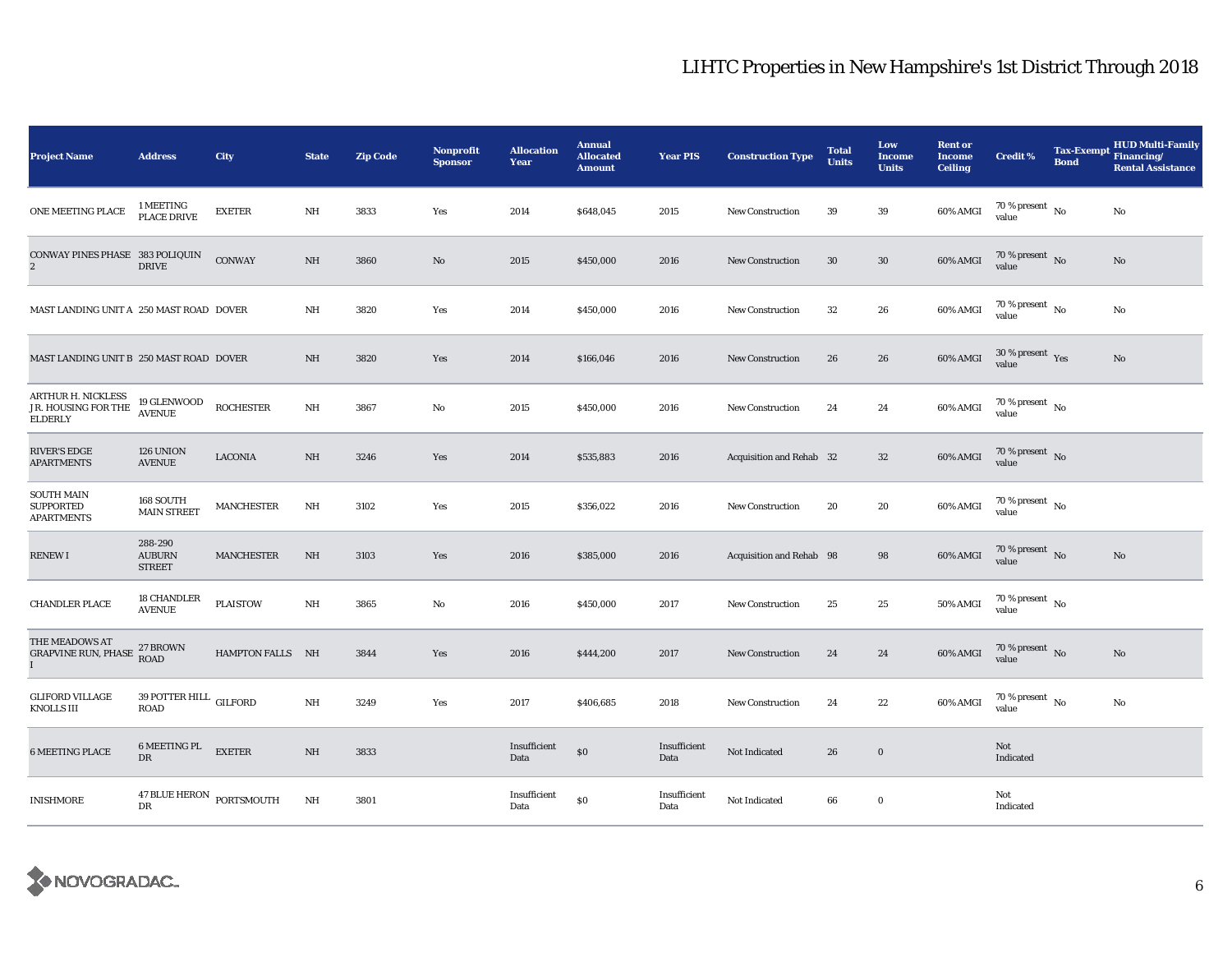| <b>Project Name</b>                                         | <b>Address</b>                             | City              | <b>State</b> | <b>Zip Code</b> | Nonprofit<br><b>Sponsor</b> | <b>Allocation</b><br>Year | <b>Annual</b><br><b>Allocated</b><br><b>Amount</b> | <b>Year PIS</b>      | <b>Construction Type</b> | <b>Total</b><br><b>Units</b> | Low<br><b>Income</b><br><b>Units</b> | <b>Rent or</b><br><b>Income</b><br><b>Ceiling</b> | <b>Credit %</b>                        | Tax-Exempt Financing/<br><b>Bond</b> | <b>HUD Multi-Family</b><br><b>Rental Assistance</b> |
|-------------------------------------------------------------|--------------------------------------------|-------------------|--------------|-----------------|-----------------------------|---------------------------|----------------------------------------------------|----------------------|--------------------------|------------------------------|--------------------------------------|---------------------------------------------------|----------------------------------------|--------------------------------------|-----------------------------------------------------|
| ONE MEETING PLACE                                           | 1 MEETING<br>PLACE DRIVE                   | <b>EXETER</b>     | NH           | 3833            | Yes                         | 2014                      | \$648,045                                          | 2015                 | New Construction         | 39                           | 39                                   | 60% AMGI                                          | $70$ % present $\,$ No $\,$<br>value   |                                      | No                                                  |
| CONWAY PINES PHASE 383 POLIQUIN<br>$\mathbf{2}$             | <b>DRIVE</b>                               | <b>CONWAY</b>     | NH           | 3860            | No                          | 2015                      | \$450,000                                          | 2016                 | <b>New Construction</b>  | 30                           | $30\,$                               | 60% AMGI                                          | $70\,\%$ present $\,$ No $\,$<br>value |                                      | No                                                  |
| MAST LANDING UNIT A 250 MAST ROAD DOVER                     |                                            |                   | NH           | 3820            | Yes                         | 2014                      | \$450,000                                          | 2016                 | <b>New Construction</b>  | $32\,$                       | 26                                   | 60% AMGI                                          | $70$ % present $\,$ No $\,$<br>value   |                                      | No                                                  |
| MAST LANDING UNIT B 250 MAST ROAD DOVER                     |                                            |                   | NH           | 3820            | Yes                         | 2014                      | \$166,046                                          | 2016                 | <b>New Construction</b>  | 26                           | 26                                   | 60% AMGI                                          | $30$ % present $\,$ $\rm Yes$<br>value |                                      | No                                                  |
| ARTHUR H. NICKLESS<br>JR. HOUSING FOR THE<br><b>ELDERLY</b> | 19 GLENWOOD<br><b>AVENUE</b>               | <b>ROCHESTER</b>  | NH           | 3867            | No                          | 2015                      | \$450,000                                          | 2016                 | <b>New Construction</b>  | 24                           | 24                                   | 60% AMGI                                          | $70\,\%$ present $\,$ No $\,$<br>value |                                      |                                                     |
| <b>RIVER'S EDGE</b><br><b>APARTMENTS</b>                    | 126 UNION<br><b>AVENUE</b>                 | <b>LACONIA</b>    | NH           | 3246            | Yes                         | 2014                      | \$535,883                                          | 2016                 | Acquisition and Rehab 32 |                              | $32\,$                               | 60% AMGI                                          | $70\,\%$ present $\,$ No value         |                                      |                                                     |
| <b>SOUTH MAIN</b><br><b>SUPPORTED</b><br><b>APARTMENTS</b>  | 168 SOUTH<br><b>MAIN STREET</b>            | <b>MANCHESTER</b> | NH           | 3102            | Yes                         | 2015                      | \$356,022                                          | 2016                 | <b>New Construction</b>  | 20                           | 20                                   | 60% AMGI                                          | $70$ % present $\,$ No $\,$<br>value   |                                      |                                                     |
| <b>RENEWI</b>                                               | 288-290<br><b>AUBURN</b><br><b>STREET</b>  | <b>MANCHESTER</b> | NH           | 3103            | Yes                         | 2016                      | \$385,000                                          | 2016                 | Acquisition and Rehab 98 |                              | 98                                   | 60% AMGI                                          | $70\%$ present No<br>value             |                                      | No                                                  |
| <b>CHANDLER PLACE</b>                                       | <b>18 CHANDLER</b><br><b>AVENUE</b>        | <b>PLAISTOW</b>   | NH           | 3865            | No                          | 2016                      | \$450,000                                          | 2017                 | New Construction         | 25                           | 25                                   | $50\%$ AMGI                                       | $70$ % present $\,$ No $\,$<br>value   |                                      |                                                     |
| THE MEADOWS AT<br><b>GRAPVINE RUN, PHASE</b><br>I           | 27 BROWN<br><b>ROAD</b>                    | HAMPTON FALLS NH  |              | 3844            | Yes                         | 2016                      | \$444,200                                          | 2017                 | New Construction         | 24                           | 24                                   | 60% AMGI                                          | $70\,\%$ present $\,$ No value         |                                      | No                                                  |
| <b>GLIFORD VILLAGE</b><br>KNOLLS III                        | 39 POTTER HILL $\,$ GILFORD<br><b>ROAD</b> |                   | $\rm{NH}$    | 3249            | Yes                         | 2017                      | \$406,685                                          | 2018                 | New Construction         | 24                           | 22                                   | 60% AMGI                                          | 70 % present $\hbox{~No}$<br>value     |                                      | No                                                  |
| <b>6 MEETING PLACE</b>                                      | 6 MEETING PL<br>DR                         | <b>EXETER</b>     | $\rm{NH}$    | 3833            |                             | Insufficient<br>Data      | $\$0$                                              | Insufficient<br>Data | Not Indicated            | 26                           | $\boldsymbol{0}$                     |                                                   | Not<br>Indicated                       |                                      |                                                     |
| <b>INISHMORE</b>                                            | 47 BLUE HERON PORTSMOUTH<br>DR             |                   | NH           | 3801            |                             | Insufficient<br>Data      | $\$0$                                              | Insufficient<br>Data | Not Indicated            | 66                           | $\bf{0}$                             |                                                   | Not<br>Indicated                       |                                      |                                                     |

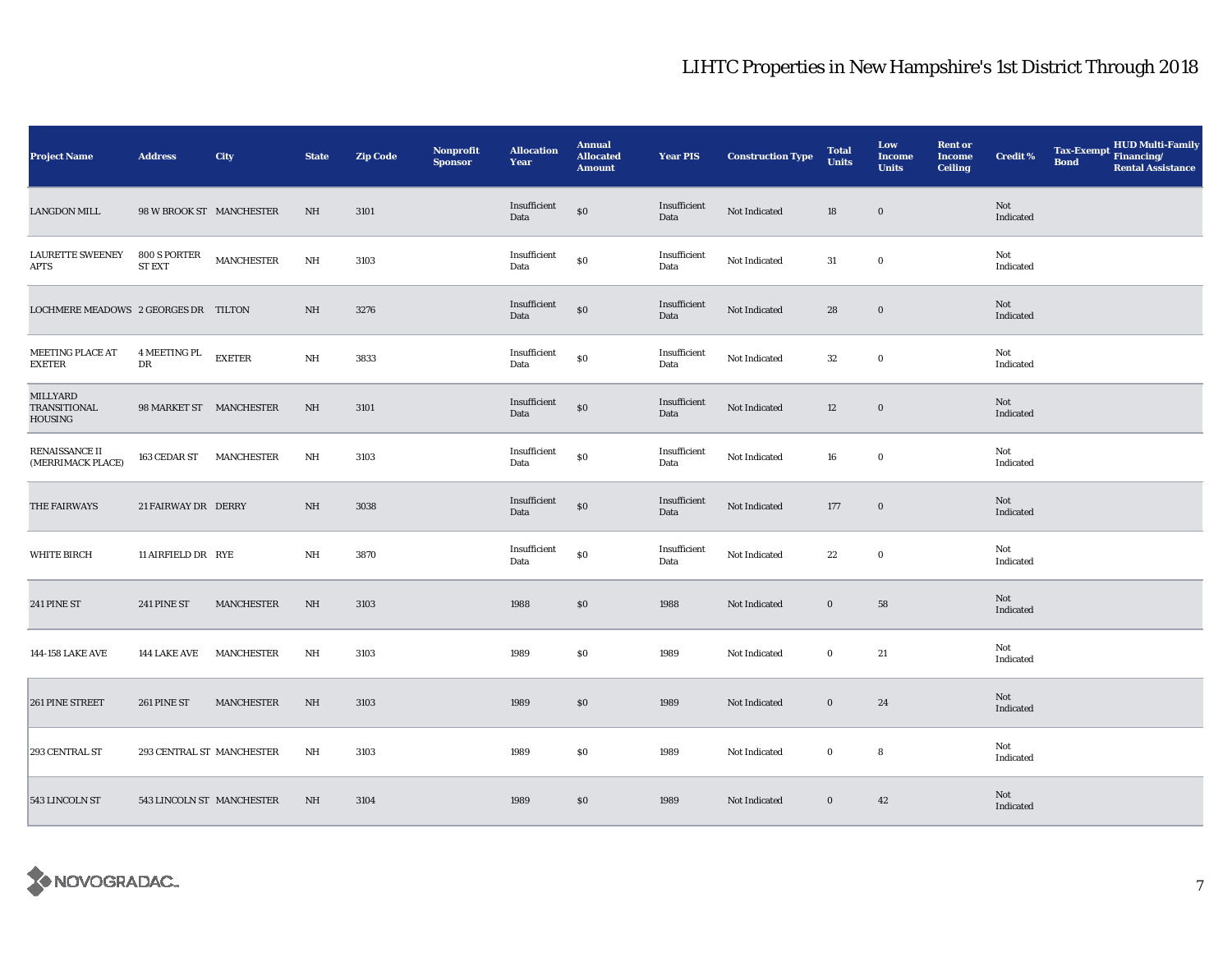| <b>Project Name</b>                  | <b>Address</b>                | <b>City</b>       | <b>State</b> | <b>Zip Code</b> | Nonprofit<br><b>Sponsor</b> | <b>Allocation</b><br>Year | <b>Annual</b><br><b>Allocated</b><br><b>Amount</b> | <b>Year PIS</b>      | <b>Construction Type</b> | <b>Total</b><br><b>Units</b> | Low<br><b>Income</b><br><b>Units</b> | <b>Rent or</b><br><b>Income</b><br><b>Ceiling</b> | <b>Credit %</b>  | <b>Tax-Exempt</b><br><b>Bond</b> | HUD Multi-Family<br>Financing/<br><b>Rental Assistance</b> |
|--------------------------------------|-------------------------------|-------------------|--------------|-----------------|-----------------------------|---------------------------|----------------------------------------------------|----------------------|--------------------------|------------------------------|--------------------------------------|---------------------------------------------------|------------------|----------------------------------|------------------------------------------------------------|
| <b>LANGDON MILL</b>                  | 98 W BROOK ST MANCHESTER      |                   | NH           | 3101            |                             | Insufficient<br>Data      | $\$0$                                              | Insufficient<br>Data | Not Indicated            | 18                           | $\bf{0}$                             |                                                   | Not<br>Indicated |                                  |                                                            |
| <b>LAURETTE SWEENEY</b><br>APTS      | 800 S PORTER<br><b>ST EXT</b> | MANCHESTER        | $\rm{NH}$    | 3103            |                             | Insufficient<br>Data      | \$0                                                | Insufficient<br>Data | Not Indicated            | 31                           | $\mathbf 0$                          |                                                   | Not<br>Indicated |                                  |                                                            |
| LOCHMERE MEADOWS 2 GEORGES DR TILTON |                               |                   | NH           | 3276            |                             | Insufficient<br>Data      | $\$0$                                              | Insufficient<br>Data | Not Indicated            | 28                           | $\mathbf 0$                          |                                                   | Not<br>Indicated |                                  |                                                            |
| MEETING PLACE AT<br><b>EXETER</b>    | 4 MEETING PL<br>$_{\rm DR}$   | <b>EXETER</b>     | $\rm{NH}$    | 3833            |                             | Insufficient<br>Data      | $\$0$                                              | Insufficient<br>Data | Not Indicated            | $32\,$                       | $\mathbf 0$                          |                                                   | Not<br>Indicated |                                  |                                                            |
| MILLYARD<br>TRANSITIONAL<br>HOUSING  | 98 MARKET ST MANCHESTER       |                   | NH           | 3101            |                             | Insufficient<br>Data      | $\$0$                                              | Insufficient<br>Data | Not Indicated            | 12                           | $\mathbf 0$                          |                                                   | Not<br>Indicated |                                  |                                                            |
| RENAISSANCE II<br>(MERRIMACK PLACE)  | 163 CEDAR ST MANCHESTER       |                   | NH           | 3103            |                             | Insufficient<br>Data      | \$0                                                | Insufficient<br>Data | Not Indicated            | 16                           | $\bf{0}$                             |                                                   | Not<br>Indicated |                                  |                                                            |
| THE FAIRWAYS                         | 21 FAIRWAY DR DERRY           |                   | NH           | 3038            |                             | Insufficient<br>Data      | $\$0$                                              | Insufficient<br>Data | Not Indicated            | 177                          | $\mathbf 0$                          |                                                   | Not<br>Indicated |                                  |                                                            |
| <b>WHITE BIRCH</b>                   | 11 AIRFIELD DR RYE            |                   | NH           | 3870            |                             | Insufficient<br>Data      | \$0                                                | Insufficient<br>Data | Not Indicated            | $\bf{22}$                    | $\mathbf 0$                          |                                                   | Not<br>Indicated |                                  |                                                            |
| 241 PINE ST                          | 241 PINE ST                   | <b>MANCHESTER</b> | NH           | 3103            |                             | 1988                      | \$0                                                | 1988                 | Not Indicated            | $\bf{0}$                     | 58                                   |                                                   | Not<br>Indicated |                                  |                                                            |
| 144-158 LAKE AVE                     | 144 LAKE AVE                  | <b>MANCHESTER</b> | NH           | 3103            |                             | 1989                      | $\$0$                                              | 1989                 | Not Indicated            | $\bf{0}$                     | 21                                   |                                                   | Not<br>Indicated |                                  |                                                            |
| 261 PINE STREET                      | 261 PINE ST                   | <b>MANCHESTER</b> | NH           | 3103            |                             | 1989                      | \$0                                                | 1989                 | Not Indicated            | $\bf{0}$                     | 24                                   |                                                   | Not<br>Indicated |                                  |                                                            |
| 293 CENTRAL ST                       | 293 CENTRAL ST MANCHESTER     |                   | NH           | 3103            |                             | 1989                      | \$0                                                | 1989                 | Not Indicated            | $\bf{0}$                     | 8                                    |                                                   | Not<br>Indicated |                                  |                                                            |
| 543 LINCOLN ST                       | 543 LINCOLN ST MANCHESTER     |                   | NH           | 3104            |                             | 1989                      | \$0                                                | 1989                 | Not Indicated            | $\bf{0}$                     | 42                                   |                                                   | Not<br>Indicated |                                  |                                                            |

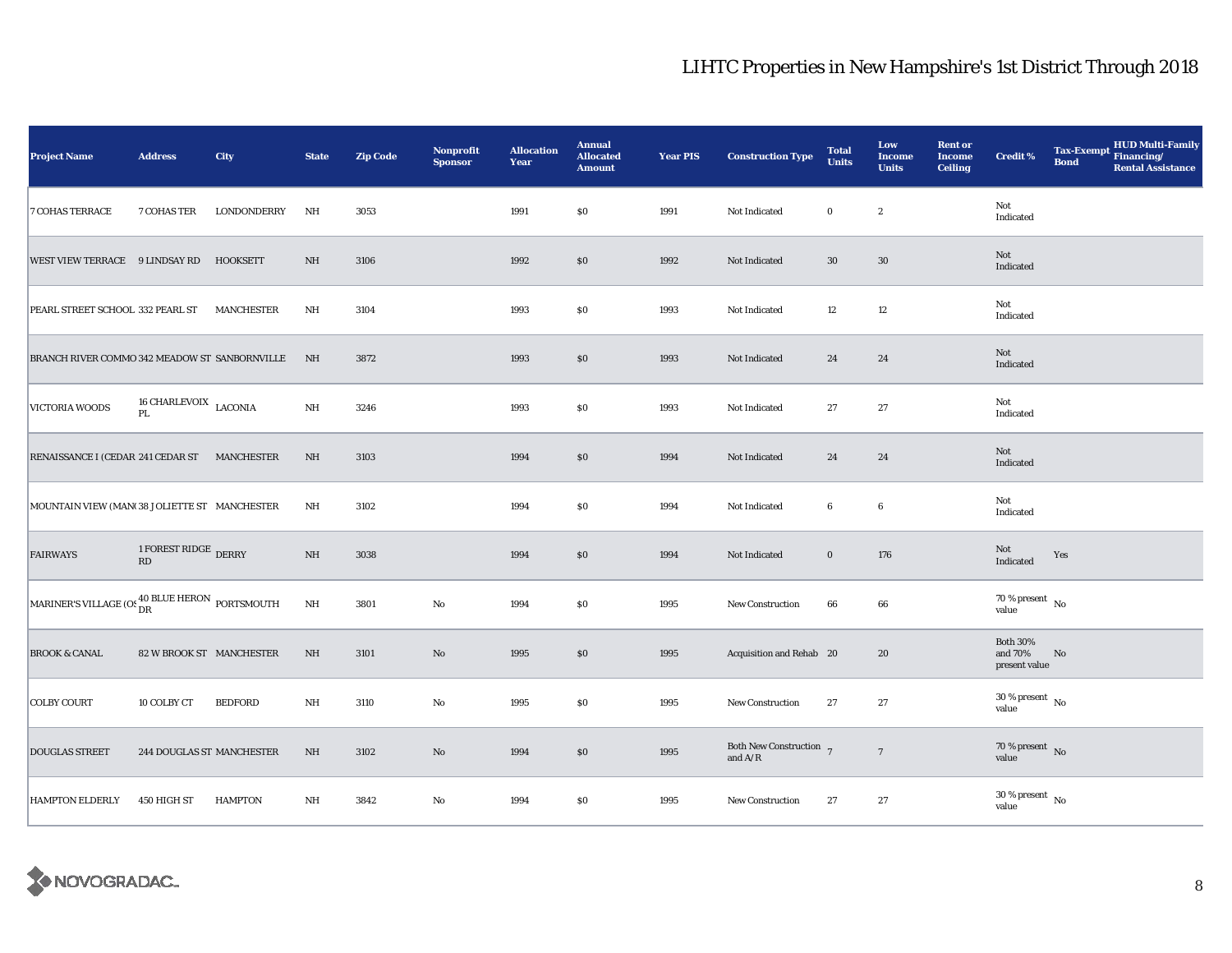| <b>Project Name</b>                                                   | <b>Address</b>                   | City              | <b>State</b>            | <b>Zip Code</b> | <b>Nonprofit</b><br><b>Sponsor</b> | <b>Allocation</b><br>Year | <b>Annual</b><br><b>Allocated</b><br><b>Amount</b> | <b>Year PIS</b> | <b>Construction Type</b>                                 | <b>Total</b><br><b>Units</b> | Low<br><b>Income</b><br><b>Units</b> | <b>Rent or</b><br><b>Income</b><br><b>Ceiling</b> | <b>Credit %</b>                             | <b>Bond</b> | <b>HUD Multi-Family</b><br>Tax-Exempt Financing/<br><b>Rental Assistance</b> |
|-----------------------------------------------------------------------|----------------------------------|-------------------|-------------------------|-----------------|------------------------------------|---------------------------|----------------------------------------------------|-----------------|----------------------------------------------------------|------------------------------|--------------------------------------|---------------------------------------------------|---------------------------------------------|-------------|------------------------------------------------------------------------------|
| <b>7 COHAS TERRACE</b>                                                | 7 COHAS TER                      | LONDONDERRY       | NH                      | 3053            |                                    | 1991                      | \$0                                                | 1991            | Not Indicated                                            | $\bf{0}$                     | $\boldsymbol{2}$                     |                                                   | Not<br>Indicated                            |             |                                                                              |
| WEST VIEW TERRACE 9 LINDSAY RD                                        |                                  | HOOKSETT          | NH                      | 3106            |                                    | 1992                      | \$0                                                | 1992            | Not Indicated                                            | $30\,$                       | 30                                   |                                                   | Not<br>Indicated                            |             |                                                                              |
| PEARL STREET SCHOOL 332 PEARL ST                                      |                                  | <b>MANCHESTER</b> | NH                      | 3104            |                                    | 1993                      | \$0                                                | 1993            | Not Indicated                                            | 12                           | 12                                   |                                                   | Not<br>Indicated                            |             |                                                                              |
| BRANCH RIVER COMMO 342 MEADOW ST SANBORNVILLE                         |                                  |                   | N <sub>H</sub>          | 3872            |                                    | 1993                      | $\$0$                                              | 1993            | Not Indicated                                            | 24                           | 24                                   |                                                   | Not<br>Indicated                            |             |                                                                              |
| VICTORIA WOODS                                                        | 16 CHARLEVOIX $\,$ LACONIA<br>PL |                   | $\rm{NH}$               | 3246            |                                    | 1993                      | \$0                                                | 1993            | Not Indicated                                            | 27                           | 27                                   |                                                   | Not<br>Indicated                            |             |                                                                              |
| RENAISSANCE I (CEDAR 241 CEDAR ST MANCHESTER                          |                                  |                   | $\rm{NH}$               | 3103            |                                    | 1994                      | \$0                                                | 1994            | Not Indicated                                            | 24                           | 24                                   |                                                   | Not<br>Indicated                            |             |                                                                              |
| MOUNTAIN VIEW (MAN(38 JOLIETTE ST MANCHESTER                          |                                  |                   | NH                      | 3102            |                                    | 1994                      | S <sub>0</sub>                                     | 1994            | Not Indicated                                            | $\bf{6}$                     | $6\phantom{.0}$                      |                                                   | Not<br>Indicated                            |             |                                                                              |
| <b>FAIRWAYS</b>                                                       | 1 FOREST RIDGE DERRY<br>RD       |                   | $\rm{NH}$               | 3038            |                                    | 1994                      | $\$0$                                              | 1994            | Not Indicated                                            | $\bf{0}$                     | 176                                  |                                                   | Not<br>Indicated                            | Yes         |                                                                              |
| MARINER'S VILLAGE (OS $_{\text{DR}}^{40\text{ BLUE}$ HERON PORTSMOUTH |                                  |                   | $\mathbf{N} \mathbf{H}$ | 3801            | No                                 | 1994                      | \$0                                                | 1995            | <b>New Construction</b>                                  | 66                           | 66                                   |                                                   | $70\,\%$ present $\,$ No $\,$<br>value      |             |                                                                              |
| <b>BROOK &amp; CANAL</b>                                              | 82 W BROOK ST MANCHESTER         |                   | NH                      | 3101            | $\mathbf{N}\mathbf{o}$             | 1995                      | \$0                                                | 1995            | Acquisition and Rehab 20                                 |                              | 20                                   |                                                   | <b>Both 30%</b><br>and 70%<br>present value | No          |                                                                              |
| <b>COLBY COURT</b>                                                    | 10 COLBY CT                      | BEDFORD           | NH                      | 3110            | $\rm No$                           | 1995                      | \$0                                                | 1995            | <b>New Construction</b>                                  | 27                           | 27                                   |                                                   | $30\,\%$ present $\,$ No value              |             |                                                                              |
| <b>DOUGLAS STREET</b>                                                 | 244 DOUGLAS ST MANCHESTER        |                   | $\rm{NH}$               | 3102            | $\rm No$                           | 1994                      | \$0                                                | 1995            | Both New Construction $7$<br>and $\mathrm{A}/\mathrm{R}$ |                              | $\,7$                                |                                                   | $70\,\%$ present $\,$ No value              |             |                                                                              |
| <b>HAMPTON ELDERLY</b>                                                | 450 HIGH ST                      | <b>HAMPTON</b>    | NH                      | 3842            | No                                 | 1994                      | \$0                                                | 1995            | New Construction                                         | 27                           | 27                                   |                                                   | $30\,\%$ present $\,$ No value              |             |                                                                              |

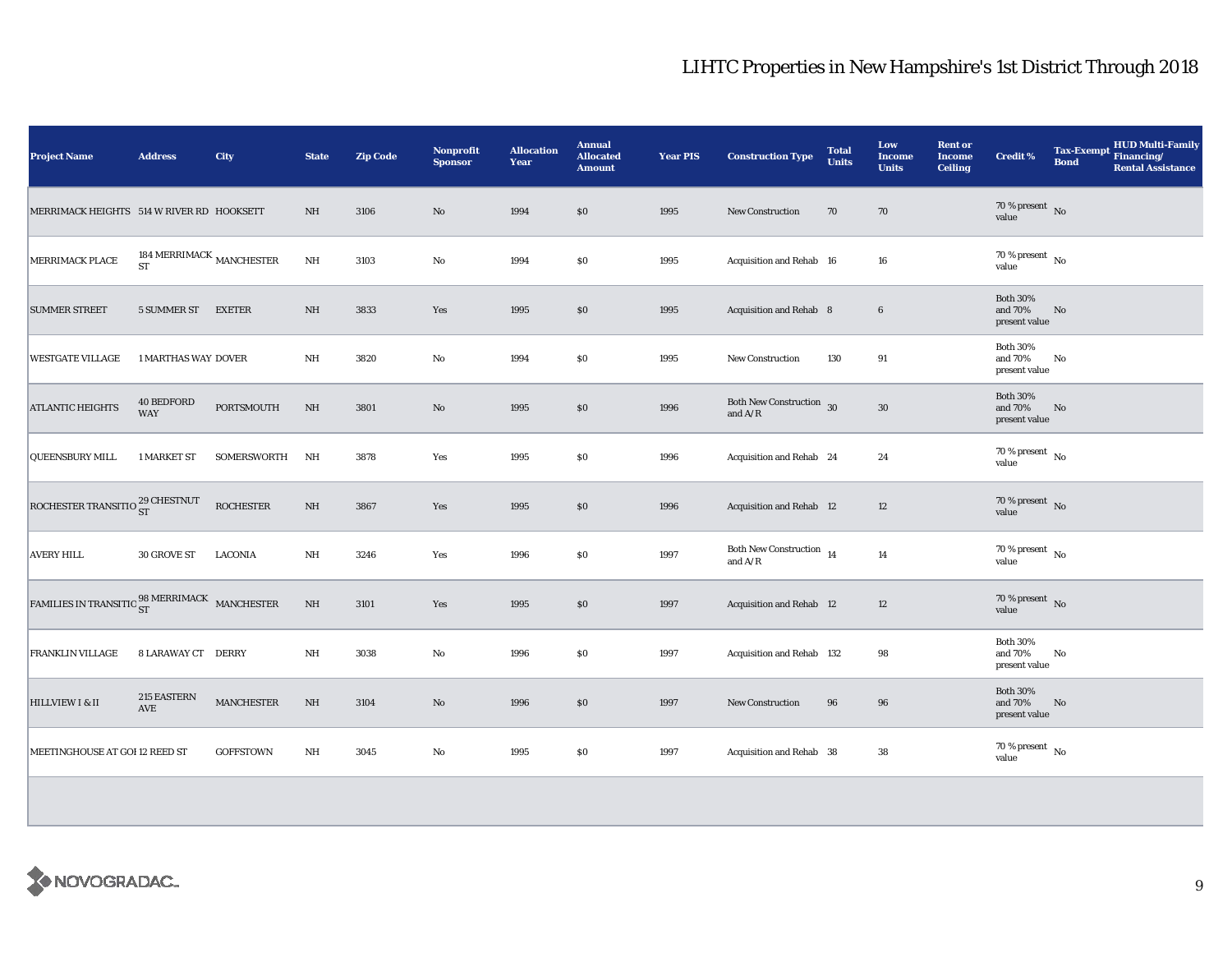| <b>Project Name</b>                                                                               | <b>Address</b>                    | City               | <b>State</b> | <b>Zip Code</b> | <b>Nonprofit</b><br><b>Sponsor</b> | <b>Allocation</b><br>Year | <b>Annual</b><br><b>Allocated</b><br><b>Amount</b> | <b>Year PIS</b> | <b>Construction Type</b>                                                          | <b>Total</b><br><b>Units</b> | Low<br><b>Income</b><br><b>Units</b> | <b>Rent or</b><br><b>Income</b><br><b>Ceiling</b> | <b>Credit %</b>                             | Tax-Exempt HUD Multi-Family<br><b>Bond</b><br><b>Rental Assistance</b> |
|---------------------------------------------------------------------------------------------------|-----------------------------------|--------------------|--------------|-----------------|------------------------------------|---------------------------|----------------------------------------------------|-----------------|-----------------------------------------------------------------------------------|------------------------------|--------------------------------------|---------------------------------------------------|---------------------------------------------|------------------------------------------------------------------------|
| MERRIMACK HEIGHTS 514 W RIVER RD HOOKSETT                                                         |                                   |                    | NH           | 3106            | $\mathbf{N}\mathbf{o}$             | 1994                      | \$0                                                | 1995            | <b>New Construction</b>                                                           | 70                           | 70                                   |                                                   | 70 % present $\hbox{~No}$<br>value          |                                                                        |
| MERRIMACK PLACE                                                                                   | 184 MERRIMACK $_{\rm MANCHESTER}$ |                    | $\rm{NH}$    | 3103            | No                                 | 1994                      | \$0                                                | 1995            | Acquisition and Rehab 16                                                          |                              | 16                                   |                                                   | $70\,\%$ present $\,$ No value              |                                                                        |
| <b>SUMMER STREET</b>                                                                              | 5 SUMMER ST                       | EXETER             | $\rm{NH}$    | 3833            | Yes                                | 1995                      | \$0                                                | 1995            | <b>Acquisition and Rehab 8</b>                                                    |                              | $6\phantom{.0}$                      |                                                   | <b>Both 30%</b><br>and 70%<br>present value | No                                                                     |
| <b>WESTGATE VILLAGE</b>                                                                           | <b>1 MARTHAS WAY DOVER</b>        |                    | NH           | 3820            | No                                 | 1994                      | <b>SO</b>                                          | 1995            | <b>New Construction</b>                                                           | 130                          | 91                                   |                                                   | <b>Both 30%</b><br>and 70%<br>present value | No                                                                     |
| <b>ATLANTIC HEIGHTS</b>                                                                           | <b>40 BEDFORD</b><br><b>WAY</b>   | PORTSMOUTH         | $\rm{NH}$    | 3801            | $\rm No$                           | 1995                      | \$0                                                | 1996            | Both New Construction 30<br>and $\ensuremath{\mathrm{A}}/\ensuremath{\mathrm{R}}$ |                              | $30\,$                               |                                                   | <b>Both 30%</b><br>and 70%<br>present value | No                                                                     |
| <b>QUEENSBURY MILL</b>                                                                            | 1 MARKET ST                       | <b>SOMERSWORTH</b> | NH           | 3878            | Yes                                | 1995                      | \$0                                                | 1996            | Acquisition and Rehab 24                                                          |                              | 24                                   |                                                   | 70 % present $\hbox{~No}$<br>value          |                                                                        |
| ROCHESTER TRANSITIO 29 CHESTNUT                                                                   |                                   | <b>ROCHESTER</b>   | $\rm{NH}$    | 3867            | Yes                                | 1995                      | \$0                                                | 1996            | Acquisition and Rehab 12                                                          |                              | 12                                   |                                                   | $70\,\%$ present $${\rm No}$$ value         |                                                                        |
| <b>AVERY HILL</b>                                                                                 | 30 GROVE ST                       | <b>LACONIA</b>     | NH           | 3246            | Yes                                | 1996                      | \$0                                                | 1997            | Both New Construction $\begin{array}{cc} 14 \end{array}$<br>and $A/R$             |                              | 14                                   |                                                   | $70\,\%$ present $\,$ No value              |                                                                        |
| $\textrm{FAMILIES IN TRANSITIO}\frac{98\textrm{ MERRIMACK}}{\textrm{ST}}\quad\textrm{MANCHESTER}$ |                                   |                    | $\rm{NH}$    | 3101            | Yes                                | 1995                      | \$0                                                | 1997            | <b>Acquisition and Rehab</b> 12                                                   |                              | 12                                   |                                                   | $70\,\%$ present $\,$ No value              |                                                                        |
| <b>FRANKLIN VILLAGE</b>                                                                           | 8 LARAWAY CT DERRY                |                    | NH           | 3038            | No                                 | 1996                      | \$0                                                | 1997            | Acquisition and Rehab 132                                                         |                              | 98                                   |                                                   | <b>Both 30%</b><br>and 70%<br>present value | No                                                                     |
| HILLVIEW I & II                                                                                   | 215 EASTERN<br>AVE                | MANCHESTER         | $\rm{NH}$    | 3104            | No                                 | 1996                      | \$0                                                | 1997            | <b>New Construction</b>                                                           | 96                           | 96                                   |                                                   | <b>Both 30%</b><br>and 70%<br>present value | No                                                                     |
| MEETINGHOUSE AT GOI 12 REED ST                                                                    |                                   | <b>GOFFSTOWN</b>   | NH           | 3045            | No                                 | 1995                      | \$0                                                | 1997            | Acquisition and Rehab 38                                                          |                              | 38                                   |                                                   | 70 % present $\hbox{~No}$<br>value          |                                                                        |